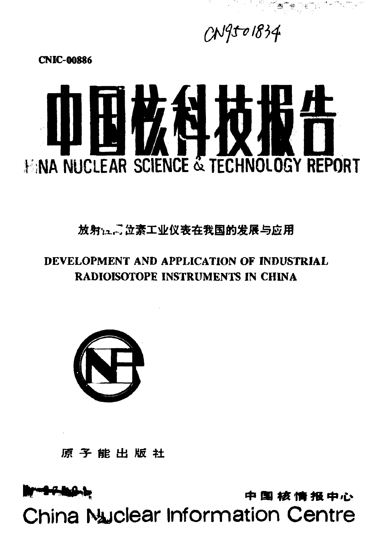# 中国核情报中心 **China Nuclear Information Centre**

原子能出版社



## DEVELOPMENT AND APPLICATION OF INDUSTRIAL RADIOISOTOPE INSTRUMENTS IN CHINA

放射:二、立素工业仪表在我国的发展与应用



**CNIC-00886** 

 $CM9501834$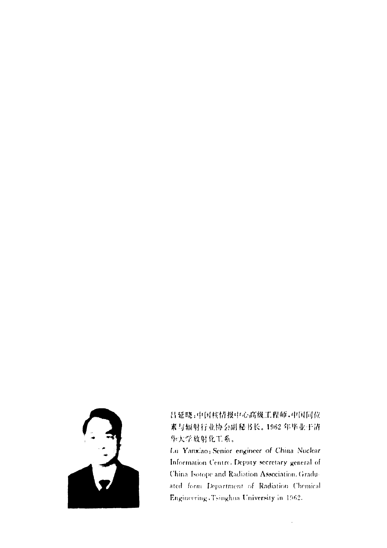

吕延晓:中国核情报中心高级工程师,中国同位 素与辐射行业协会副秘书长。1962年毕业于清 华大学故射化工系。

Lü Yanxiao; Senior engineer of China Nuclear Information Centre. Deputy secretary general of China Isotope and Radiation Association. Graduated form Department of Radiation Chemical Engineering Tsinghua University in 1962.

 $\hat{\boldsymbol{\gamma}}$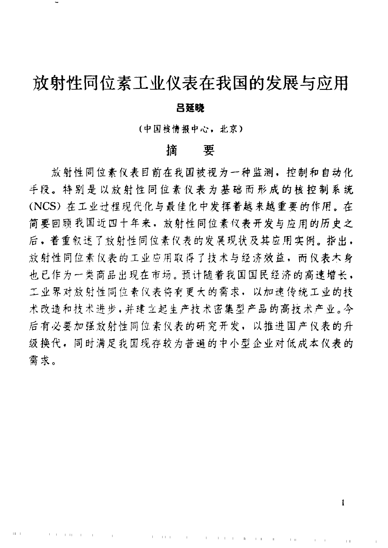# 放射性同位素工业仪表在我国的发展与应用

#### 吕延晓

(中国接情报中心,北京)

## 摘要

放射性同位素仪表目前在我国被视为一种监测,控制和自动化 手段。特别是以放射性同位素仪表为基础而形成的核控制系统 (NCS) 在工业过程现代化与最佳 ft 中发挥着越来越重要的作用。在 简要回顾我国近十年来,放射性同位素仪表开发与应用的历史之 后,着重叙述了放射性同位素仪表的发展现状及其应用实例。指出, 放射性同位素仪表的工业应用取得了技术与经济效益,而仪表大身 也已作为一类商品出现在市场。预计随着我国国民经济的高速增长. 工业界对放射性同位素仪表将有更大的需求,以加速传统工业的技 术改造和技术进步.并建立起生产技术密集型严品的高技术严业。今 后有必要加强放射性同位素仪表的研究开发,以推进国产仪表的升 级换代,同时满足我国现存较为普遍的中小型企业对低成本仪表的 需求。

In the case of the contract of the company of the company

" I I " II

<sup>I</sup> II '"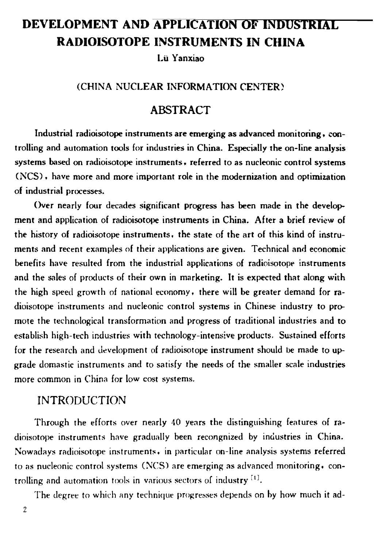# DEVELOPMENT AND APPLICATION OF INDUSTRIAL RADIOISOTOPE INSTRUMENTS IN CHINA

Lii Yanxia

#### (CHINA NUCLEAR INFORMATION CENTER)

### **ABSTRACT**

Industrial radioisotope instruments are emerging as advanced monitoring, controlling and automation tools for industries in China. Especially the on-line analysis systems based on radioisotope instruments. referred to as nucleonic control systems (NC凹. have more and more important role in the modernization and optimization of industrial processes.

Over nearly four decades significant progress has been made in the development and application of radioisotope instruments in China. After a brief review of the history of radioisotope instruments, the state of the art of this kind of instruments and recent examples of their applications are given. Technical and economic benefits have resulted from the industrial applications of radioisotope instruments and the sales of products of their own in marketing. It is expected that along with the high speed growth of national economy, there will be greater demand for radioisotope instruments and nucleonic control systems in Chinese industry to pnr mote the technological transformation and progress of traditional industries and to establish high-tech industries with technology-intensive products. Sustained efforts for the research and development of radioisotope instrument should be made to upgrade domastic instruments and to satisfy the needs of the smaller scale industries more common in China for low cost systems.

### INTRODUCTION

Through the efforts over nearly 40 years the distinguishing features of radioisotope instruments have gradually been recongnized by industries in China. Nowadays radioisotope instruments, in particular on-line analysis systems referred to as nucleonic control systems (NCS) are emerging as advanced monitoring. controlling and automation tools in various sectors of industry  $[1]$ .

The degree to which any technique progresses depends on by how much it ad-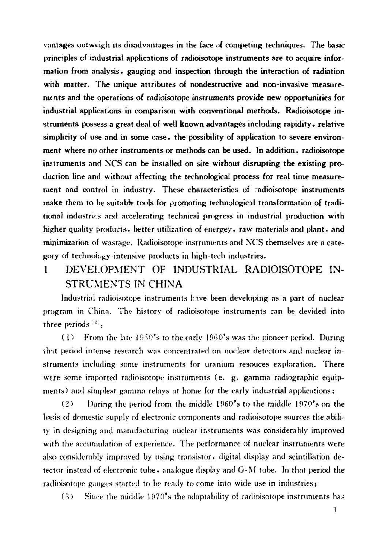vantages outweigh its disadvantages in the face of competing techniques. The basic principles of industrial applications of radioisotope instruments are to acquire information from analysis, gauging and inspection through the interaction of radiation with matter. The unique attributes of nondestructive and non-invasive measurements and the operations of radioisotope instruments provide new opportunities for industrial applications in comparison with conventional methods. Radioisotope instruments possess a great deal of well known advantages including rapidity, relative simplicity of use and in some case, the possibility of application to severe environment where no other instruments or methods can be used. In addition, radioisotope instruments and NCS can be installed on site without disrupting the existing production line and without affecting the technological process for real time measurement and control in industry. These characteristics of radioisotope instruments make them to be suitable tools for promoting technological transformation of traditional industries and accelerating technical progress in industrial production with higher quality products, better utilization of energey, raw materials and plant, and minimization of wastage. Radioisotope instruments and NCS themselves are a category of technology intensive products in high-tech industries.

#### DEVELOPMENT OF INDUSTRIAL RADIOISOTOPE IN- $\mathbf{1}$ STRUMENTS IN CHINA

Industrial radioisotope instruments have been developing as a part of nuclear program in China. The history of radioisotope instruments can be devided into three periods  $^{22}$ :

(1) From the late 1950's to the early 1960's was the pioneer period. During that period intense research was concentrated on nuclear detectors and nuclear instruments including some instruments for uranium resouces exploration. There were some imported radioisotope instruments (e. g. gamma radiographic equipments) and simplest gamma relays at home for the early industrial applications;

During the period from the middle 1960's to the middle 1970's on the  $(2)$ basis of domestic supply of electronic components and radioisotope sources the ability in designing and manufacturing nuclear instruments was considerably improved with the accumulation of experience. The performance of nuclear instruments were also considerably improved by using transistor, digital display and scintillation detector instead of electronic tube, analogue display and G-M tube. In that period the radioisotope gauges started to be ready to come into wide use in industries;

Since the middle 1970's the adaptability of radioisotope instruments has  $(3)$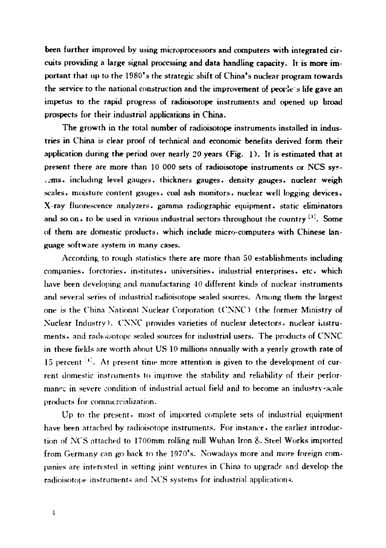been further improved by using microprocessors and computers with integrated circuits providing a large signal processing and data handling capacity. It is more important that up to the 1980's the strategic shift of China's nuclear program towards the service to the national construction and the improvement of people's life gave an impetus to the rapid progress of radioisotope instruments and opened up broad prospects for their industrial applications in China.

The growth in the total number of radioisotope instruments installed in industries in China is clear proof of technical and economic benefits derived form their application during the period over nearly 20 years (Fig. I). It is estimated that at present there are more than 10 000 sets of radioisotope instruments or NCS sysιms. including level gauges. thickness gauges. density gauges. nuclear weigh scales. moisture content gauges. coal ash monitors. nuclear well logging devices. X-ray fluorescence analyzers. gamma radiographic equipment. static eliminators and so on. to be used in various industrial sectors throughout the country  $[3]$ . Some of them are domestic products. which include micro-computers with Chinese language software system in many cases.

According to rough statistics there are more than 50 establishments including companies. forctories. institutes. universities. industrial enterprises. etc. which have been developing and manufactaring 40 different kinds of nuclear instruments and several series of industrial radioisotope sealed sources. Among them the largest one is the China National Nuclear Corporation (CNNC) (the former Ministry of Nuclear Industry). *CNNC* provides varieties of nuclear detectors, nuclear instruments. and radioisotope sealed sources for industrial users. The products of CNNC in these fields are worth about US 10 millions annually with a yearly growth rate of 15 percent  $\mathbb{R}^2$ . At present time more attention is given to the development of current domestic instruments to improve the stability and reliability of their performance in severe condition of industrial actual field and to become an industry-scale products for commercialization.

Up to the present. most of imported complete sets of industrial equipment have been attached by radioisotope instruments. For instance, the earlier introduction of *NCS* attached to 1700mm rolling mill Wuhan Iron & Steel Works imported from Germany can go back to the 1970's. Nowadays more and more foreign companies are interested in setting joint ventures in China to upgrade and develop the radioisotope instruments and NCS systems for industrial applications.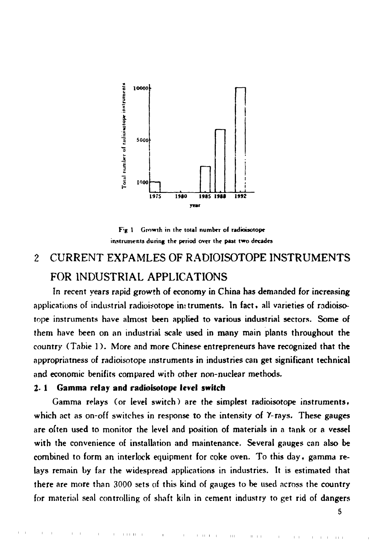

Fig.1 Growth in the total number of radioisotope instruments during the period over the past two decades

#### CURRENT EXPAMLES OF RADIOISOTOPE INSTRUMENTS  $\overline{c}$ FOR INDUSTRIAL APPLICATIONS

In recent years rapid growth of economy in China has demanded for increasing applications of industrial radioisotope in truments. In fact, all varieties of radioisotope instruments have almost been applied to various industrial sectors. Some of them have been on an industrial scale used in many main plants throughout the country (Table 1). More and more Chinese entrepreneurs have recognized that the appropriatness of radioisotope instruments in industries can get significant technical and economic benifits compared with other non-nuclear methods.

#### 2.1 Gamma relay and radioisotope level switch

1.11.11

Gamma relays (or level switch) are the simplest radioisotope instruments, which act as on-off switches in response to the intensity of Y-rays. These gauges are often used to monitor the level and position of materials in a tank or a vessel with the convenience of installation and maintenance. Several gauges can also be combined to form an interlock equipment for coke oven. To this day, gamma relays remain by far the widespread applications in industries. It is estimated that there are more than 3000 sets of this kind of gauges to be used across the country for material seal controlling of shaft kiln in cement industry to get rid of dangers

 $\pm\pm$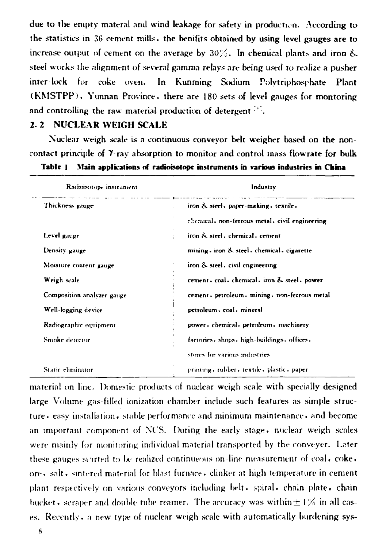due to the empty materal and wind leakage for safety in production. According to the statistics in 36 cement mills, the benifits obtained by using level gauges are to increase output of cement on the average by  $30\%$ . In chemical plants and iron & steel works the alignment of several gamma relays are being used to realize a pusher inter-lock for coke oven. In Kunming Sodium Polytriphosphate Plant (KMSTPP), Yunnan Province, there are 180 sets of level gauges for montoring and controlling the raw material production of detergent <sup>55</sup>.

#### 2.2 NUCLEAR WEIGH SCALE

Nuclear weigh scale is a continuous conveyor belt weigher based on the noncontact principle of Y-ray absorption to monitor and control mass flowrate for bulk

|  | Table 1 Main applications of radioisotope instruments in various industries in China |  |  |  |  |  |
|--|--------------------------------------------------------------------------------------|--|--|--|--|--|
|--|--------------------------------------------------------------------------------------|--|--|--|--|--|

| Radioisotope instrument    | Industry                                       |  |  |  |  |
|----------------------------|------------------------------------------------|--|--|--|--|
| Thickness gauge            | iron & steel, paper-making, textile,           |  |  |  |  |
|                            | chemical, non-ferrous metal, civil engineering |  |  |  |  |
| Level gauge                | iron & steel, chemical, cement                 |  |  |  |  |
| Density gauge              | mining - iron & steel - chemical - cigarette   |  |  |  |  |
| Moisture content gauge     | iron & steel, civil engineering                |  |  |  |  |
| Weigh scale                | cement, coal, chemical, iron & steel, power    |  |  |  |  |
| Composition analyzer gauge | cement, petroleum, mining, non-ferrous metal   |  |  |  |  |
| Well-logging device        | petroleum, coal, mineral                       |  |  |  |  |
| Radiographic equipment     | power chemical petroleum machinery             |  |  |  |  |
| Smoke detector             | factories, shops, high-buildings, offices,     |  |  |  |  |
|                            | stores for various industries                  |  |  |  |  |
| Static eliminator          | printing, rubber, textile, plastic, paper      |  |  |  |  |

material on line. Domestic products of nuclear weigh scale with specially designed large Volume gas-filled ionization chamber include such features as simple structure easy installation, stable performance and minimum maintenance, and become an important component of NCS. During the early stage, nuclear weigh scales were mainly for monitoring individual material transported by the conveyer. Later these gauges synted to be realized continueous on-line measurement of coal,  $\csc \cdot$ ore, salt, sintered material for blast furnace, clinker at high temperature in cement plant respectively on various conveyors including belt, spiral, chain plate, chain bucket, scraper and double tube reamer. The accuracy was within  $\pm 1\%$  in all cases. Recently, a new type of nuclear weigh scale with automatically burdening sys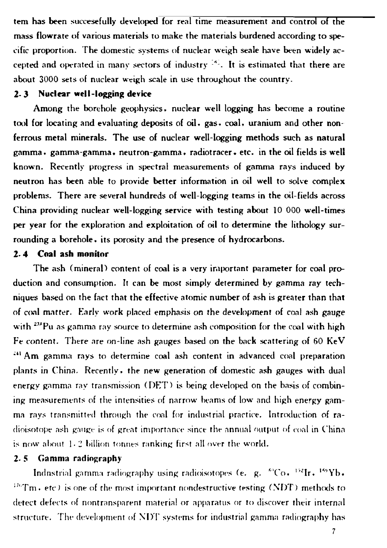tem has been succesefully developed for real time measurement and control of the mass flowrate of various materials to make the materials burdened according to speeific proportion. The domestic systems of nuclear weigh seale have been widely accepted and operated in many sectors of industry  $^{[3]}$ . It is estimated that there are about 3000 sets of nuclear weigh scale in use throughout the country.

#### 2. J Nudear well-logging device

Among the borehole geophysics. nuclear well logging has become a routine tool for locating and evaluating deposits of oil. gas. coal. uranium and other nonferrous metal minerals. The use of nuclear well-logging methods such as natural gamma. gamma-gamma. neutron-gamma. radiotracer. etc. in the oil fields is well known. Recently progress in spectral measurements of gamma rays induced by neutron has been able to provide better information in oil well to solve complex problems. There are several hundreds of well-logging teams in the oil-fields across China providing nuclear well-logging service with testing about 10 000 well-times per year for the exploration and exploitation of oil to determine the lithology surrounding a borehole. its porosity and the presence of hydrocarbons.

#### 2. 4 Coal ash monitor

The ash (mineral) content of coal is a very important parameter for coal production and consumption. It can he most simply determined by gamma ray techniques based on the fact that the effective atomic number of ash is greater than that of coal matter. Early work placed emphasis on the development of coal ash gauge with <sup>233</sup>Pu as gamma ray source to determine ash composition for the coal with high Fe content. There are on-line ash gauges based on the back scattering of 60 KeV  $^{241}$  Am gamma rays to determine coal ash content in advanced coal preparation plants in China. Recently, the new generation of domestic ash gauges with dual energy gamma ray transmission (DET) is being developed on the basis of combining measurements of the intensities of narrow beams of low and high energy gamma rays transmitted through the coal for industrial practice. Introduction of radioisotope ash gauge is of great importance since the annual output of coal in China. is now about  $1/2$  billion tonnes ranking first all over the world.

#### $2.5$  Gamma radiography

Indnstrial gamma radiography using radioisotopes (e. g. K<sup>o</sup>Co. <sup>152</sup>Ir. <sup>159</sup>Yb.  ${}^{176}$ Tm. etc.) is one of the most important nondestructive testing (NDT) methods to detect defects of nontransparent material or apparatus or to discover their internal structure. The development of  $\overline{\text{NDT}}$  systems for industrial gamma radiography has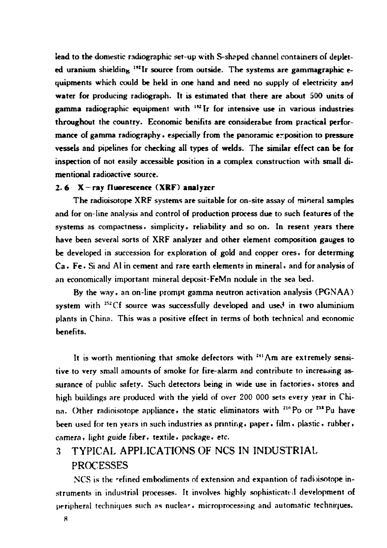lead to the domestic radiographic set-up with S-shaped channel containers of depleted uranium shielding  $192$  Ir source from outside. The systems are gammagraphic equipments which could be held in one hand and need no supply of electricity and water for producing radiograph. It is estimated that there are about 500 units of gamma radiographic equipment with  $^{132}$  Ir for intensive use in various industries throughout the country. Economic benifits are considerable from practical performance of gamma radiography, especially from the panoramic exposition to pressure vessels and pipelines for checking all types of welds. The similar effect can be for inspection of not easily accessible position in a complex construction with small dimentional radioactive source.

#### 2.6  $X$ -ray fluorescence (XRF) analyzer

The radioisotope XRF systems are suitable for on-site assay of mineral samples and for on-line analysis and control of production process due to such features of the systems as compactness, simplicity, reliability and so on. In resent years there have been several sorts of XRF analyzer and other element composition gauges to be developed in succession for exploration of gold and copper ores. for determing Ca. Fe. Si and Al in cement and rare earth elements in mineral. and for analysis of an economically important mineral deposit-FeMn nodule in the sea bed.

By the way. an on-line prompt gamma neutron activation analysis (PGNAA) system with  $^{252}Cf$  source was successfully developed and used in two aluminium plants in China. This was a positive effect in terms of both technical and economic benefits.

It is worth mentioning that smoke defectors with <sup>241</sup>Am are extremely sensitive to very small amounts of smoke for fire-alarm and contribute to increasing assurance of public safety. Such detectors being in wide use in factories, stores and high buildings are produced with the yield of over 200 000 sets every year in China. Other radioisotope appliance, the static eliminators with <sup>210</sup> Po or <sup>238</sup> Pu have been used for ten years in such industries as printing, paper, film, plastic, rubber,  $c$ amera, light guide fiber, textile, package, etc.

## 3 TYPICAL APPLICATIONS OF NCS IN INDUSTRIAL PROCESSES

 $NCS$  is the refined embodiments of extension and expantion of radioisotope instruments in industrial processes. It involves highly sophisticated development of peripheral techniques such as nuclear, microprocessing and automatic techniques.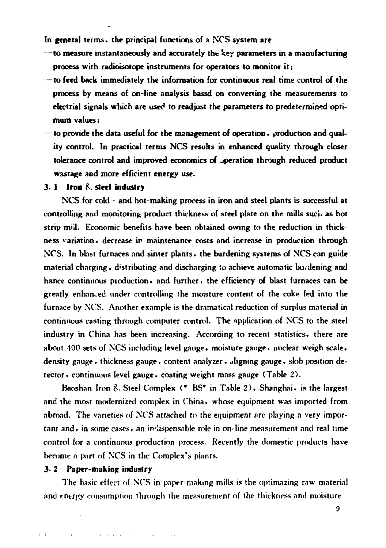In general terms, the principal functions of a NCS system are

- $-$ to measure instantaneously and accurately the key parameters in a manufacturing process with radioisotope instruments for operators to monitor it;
- to feed back immediately the information for continuous real time control of the process by means of on-line analysis bassd on converting the measurements to electrial signals which are used to readjust the parameters to predetermined optimum values:
- to provide the data useful for the management of operation, production and quality control. In practical terms NCS results in enhanced quality through closer tolerance control and improved economics of operation through reduced product wastage and more efficient energy use.

#### $3.1$  Iron  $8.$  steel industry

NCS for cold - and hot-making process in iron and steel plants is successful at controlling and monitoring product thickness of steel plate on the mills such as hot strip mill. Economic benefits have been obtained owing to the reduction in thickness variation, decrease in maintenance costs and increase in production through NCS. In blast furnaces and sinter plants, the burdening systems of NCS can guide material charging, distributing and discharging to achieve automatic burdening and hance continuous production, and further, the efficiency of blast furnaces can be greatly enhanced under controlling the moisture content of the coke fed into the furnace by NCS. Another example is the dramatical reduction of surplus material in continuous casting through computer control. The application of NCS to the steel industry in China has been increasing. According to recent statistics, there are about 400 sets of NCS including level gauge, moisture gauge, nuclear weigh scale, density gauge • thickness gauge • content analyzer • aligning gauge • slob position detector, continuous level gauge, coating weight mass gauge (Table 2).

Baoshan Iron & Steel Complex (" BS" in Table 2), Shanghai, is the largest and the most modernized complex in China, whose equipment was imported from abroad. The varieties of NCS attached to the equipment are playing a very important and, in some cases, an indispensable role in on-line measurement and real time control for a continuous production process. Recently the domestic products have become a part of NCS in the Complex's plants.

#### 3.2 Paper-making industry

that is a straightful contract that the contract of the contract of the

The basic effect of NCS in paper-making mills is the optimazing raw material and energy consumption through the measurement of the thickness and moisture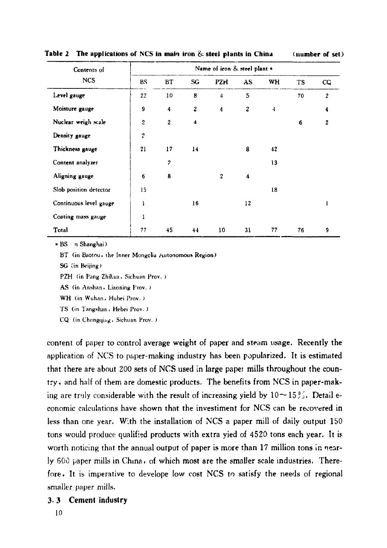| Contents of            | Name of iron & steel plant + |                         |                  |                  |              |                     |    |                |
|------------------------|------------------------------|-------------------------|------------------|------------------|--------------|---------------------|----|----------------|
| <b>NCS</b>             | BS.                          | BТ                      | SG               | PZH              | AS           | WH                  | TS | CQ.            |
| Level gauge            | 22                           | 10                      | 8                | 4                | 5            |                     | 70 | $\overline{c}$ |
| Moisture gauge         | 9                            | $\overline{\mathbf{4}}$ | $\boldsymbol{z}$ | $\ddot{\bf{4}}$  | $\mathbf{z}$ | $\ddot{\mathbf{4}}$ |    | 4              |
| Nuclear weigh scale    | $\overline{2}$               | $\mathbf{2}$            | 4                |                  |              |                     | 6  | 2              |
| Density gauge          | $\overline{c}$               |                         |                  |                  |              |                     |    |                |
| Thickness gauge        | 21                           | 17                      | 14               |                  | 8            | 42                  |    |                |
| Content analyzer       |                              | $\overline{2}$          |                  |                  |              | 13                  |    |                |
| Aligning gauge         | 6                            | 8                       |                  | $\boldsymbol{2}$ | 4            |                     |    |                |
| Slob position detector | 15                           |                         |                  |                  |              | 18                  |    |                |
| Continuous level gauge | 1                            |                         | 16               |                  | 12           |                     |    | 1              |
| Coating mass gauge     | 1                            |                         |                  |                  |              |                     |    |                |
| Total                  | 77                           | 45                      | 44               | 10               | 31           | 77                  | 76 | 9              |

Table 2 The applications of NCS in main iron  $\&$  steel plants in China (number of set)

\* BS n Shanghai)

BT (in Baotou, the Inner Mongolia Autonomous Region)

SG (in Beijing)

PZH (in Pang Zhihua, Sichuan Prov.)

AS (in Anshan, Liaoning Frov.)

WH (in Wuhan, Hubei Prov.)

TS (in Tangshan, Hebei Prov.)

CQ (in Chongqing, Sichuan Prov.)

content of paper to control average weight of paper and steam usage. Recently the application of NCS to paper-making industry has been popularized. It is estimated that there are about 200 sets of NCS used in large paper mills throughout the country, and half of them are domestic products. The benefits from NCS in paper-making are truly considerable with the result of increasing yield by  $10 \sim 15\%$ . Detail economic calculations have shown that the investiment for NCS can be recovered in less than one year. With the installation of NCS a paper mill of daily output 150 tons would produce qualified products with extra yied of 4520 tons each year. It is worth noticing that the annual output of paper is more than 17 million tons in nearly 600 paper mills in China, of which most are the smaller scale industries. Therefore. It is imperative to develope low cost NCS to satisfy the needs of regional smaller paper mills.

#### 3.3 Cement industry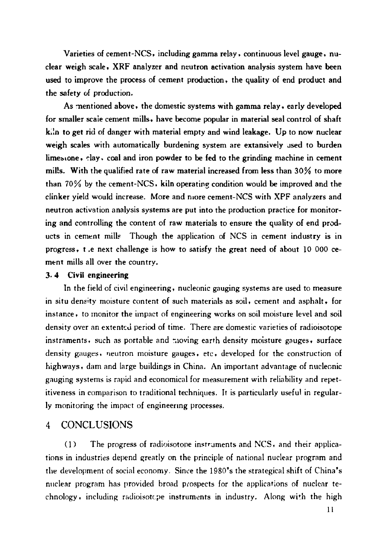Varieties of cement-NCS, including gamma relay , continuous level gauge. nuclear weigh scale. XRF analyzer and neutron activation analysis system have been used to improve the process of cement production, the quality of end product and the safety of production.

As mentioned above, the domestic systems with gamma relay, early developed for smaller scaie cement mills. have become popular in material seal control of shaft k<sub>il</sub> to get rid of danger with material empty and wind leakage. Up to now nuclear weigh scales with automatically burdening system are extansively used to burden limesione, clay, coal and iron powder to be fed to the grinding machine in cement mil!s. With the qualified rate of raw material increased from less than 30% to more than  $70\%$  by the cement-NCS, kiln operating condition would be improved and the clinker yield would increase. More and nlore cement-NCS with XPF analyzers and neutron activation analysis systems are put into the production practice for monitoring and controlling the content of raw materials to ensure the quality of end products in cement mills Though the application of NCS in cement industry is in progress. t.e next challenge is how to satisfy the great need of about 10 000 cement mills all over the country.

#### 3. 4 Civil engineering

In the field of civil engineering. nucleonic gauging systems are used to measure in situ density moisture content of such materials as soil, cement and asphalt, for instance , to monitor the impact of engineering works on soil moisture level and soil density over an extented period of time. There are domestic varieties of radioisotope instraments. such as portable and noving earth density moisture gauges. surface density gauges, neutron moisture gauges, etc. developed for the construction of highways. dam and large buildings in China. An important advantage of nuclecnic gauging systems is rapid and economical for measurement with reliability and repetitiveness in comparison to traditional techniques. It is particularly useful in regular-Iy monitoring the impact of engineenng processes.

#### 4 CONCLUSIONS

(1) The progress of radioisotope instruments and NCS, and their applications in industries depend greatly on the principle of national nuclear program and the development of social economy. Since the 1980's the strategical shift of China's nuclear program has provided broad prospects for the applications of nuclear technology, including radioisotcpe instruments in industry. Along with the high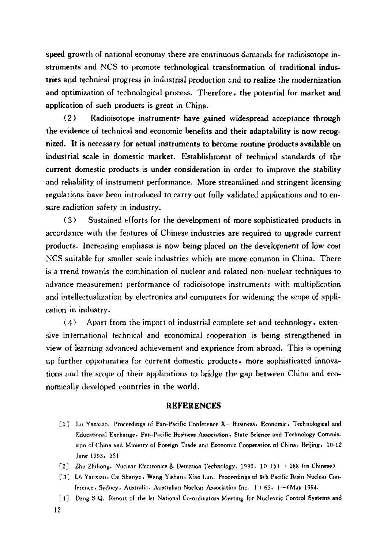speed growth of national economy there are continuous demands for radioisotope instruments and NCS to promote technological transformation of traditional industries and technical progress in industrial production and to realize the modernization and optimization of technological process. Therefore, the potential for market and application of such products is great in China.

 $(2)$ Radioisotope instruments have gained widespread acceptance through the evidence of technical and economic benefits and their adaptability is now recognized. It is necessary for actual instruments to become routine products available on industrial scale in domestic market. Establishment of technical standards of the current domestic products is under consideration in order to improve the stability and reliability of instrument performance. More streamlined and stringent licensing regulations have been introduced to carry out fully validated applications and to ensure radiation safety in industry.

Sustained efforts for the development of more sophisticated products in  $(3)$ accordance with the features of Chinese industries are required to upgrade current products. Increasing emphasis is now being placed on the development of low cost NCS suitable for smaller scale industries which are more common in China. There is a trend towards the combination of nuclear and ralated non-nuclear techniques to advance measurement performance of radioisotope instruments with multiplication and intellectualization by electronics and computers for widening the scope of application in industry.

 $(4)$ Apart from the import of industrial complete set and technology, extensive international technical and economical cooperation is being strengthened in view of learning advanced achievement and exprience from abroad. This is opening up further oppotunities for current domestic products, more sophisticated innovations and the scope of their applications to bridge the gap between China and economically developed countries in the world.

#### **REFERENCES**

- [1] Lü Yanxiao. Proceedings of Pan-Pacific Conference X--Business, Economic, Technological and Educational Exchange - Pan-Pacific Business Association - State Science and Technology Commission of China and Ministry of Foreign Trade and Economic Cooperation of China, Beijing, 10-12 June 1993, 351
- [2] Zhu Zhihong. Nuclear Electronics & Detection Technology, 1990, 10 (5) + 288 (in Chinese)
- [3] Lij Yanxiao, Cai Shanyu, Wang Yishan, Xiao Lun. Proceedings of 9th Pacific Basin Nuclear Conference, Sydney, Australia, Australian Nuclear Association Inc. 1 + 65, 1~6May 1994.
- [4] Dang S.Q. Report of the lst National Co-ordinators Meeting for Nucleonic Control Systems and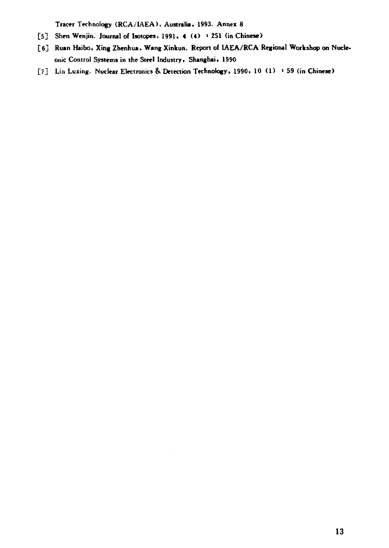Tracer Technology (RCA/IAEA), Australia, 1993. Annex 8

- [5] Shen Wenjin. Journal of Isotopes, 1991, 4 (4) : 251 (in Chinese)
- [6] Ruan Haibo, Xing Zhenhua, Wang Xinkun. Report of IAEA/RCA Regional Workshop on Nucleonic Control Systems in the Steel Industry, Shanghai, 1990
- [7] Lin Luxing. Nuclear Electronics & Detection Technology, 1990, 10 (1) + 59 (in Chinese)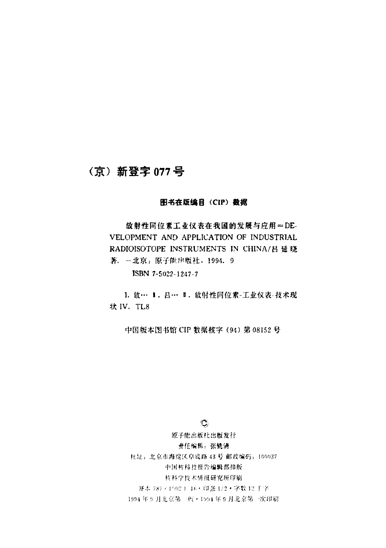## (京) 新登字 077号

#### 图书在版编目 (CIP) 数据

放射性同位素工业仪表在我国的发展与应用=DE-VELOPMENT AND APPLICATION OF INDUSTRIAL RADIOISOTOPE INSTRUMENTS IN CHINA/吕延晓 著. 一北京: 原子能出版社, 1994. 9

ISBN 7-5022-1247-7

I. 放… I. 吕… I. 放射性同位素-工业仪表-技术现 才犬 IV. TL8

中国版本图书馆 CIP 数据核字 (94) 第 08152 号

 $^{\prime\prime}$ 

原子能出版 出版发行 责任编辑:张铣清 社址: 北京市海淀区阜成路 43号 邮政编码: 100037 中国核科技报告编辑部排版 核科学技术情报研究所印刷 )并本 787×1092 1 16 · 印张 1/2 · 字数 12 千字 1994年9月北京第一版·1994年9月北京第一次印刷